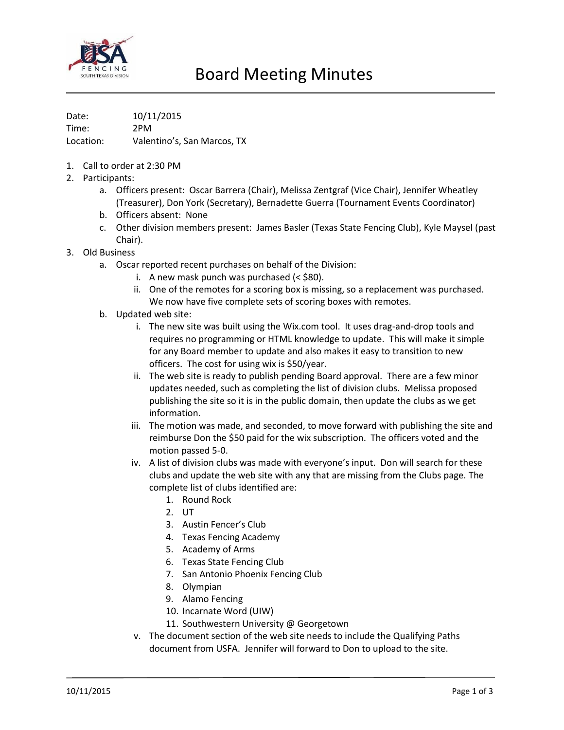

Date: 10/11/2015 Time: 2PM Location: Valentino's, San Marcos, TX

- 1. Call to order at 2:30 PM
- 2. Participants:
	- a. Officers present: Oscar Barrera (Chair), Melissa Zentgraf (Vice Chair), Jennifer Wheatley (Treasurer), Don York (Secretary), Bernadette Guerra (Tournament Events Coordinator)
	- b. Officers absent: None
	- c. Other division members present: James Basler (Texas State Fencing Club), Kyle Maysel (past Chair).
- 3. Old Business
	- a. Oscar reported recent purchases on behalf of the Division:
		- i. A new mask punch was purchased (< \$80).
		- ii. One of the remotes for a scoring box is missing, so a replacement was purchased. We now have five complete sets of scoring boxes with remotes.
	- b. Updated web site:
		- i. The new site was built using the Wix.com tool. It uses drag-and-drop tools and requires no programming or HTML knowledge to update. This will make it simple for any Board member to update and also makes it easy to transition to new officers. The cost for using wix is \$50/year.
		- ii. The web site is ready to publish pending Board approval. There are a few minor updates needed, such as completing the list of division clubs. Melissa proposed publishing the site so it is in the public domain, then update the clubs as we get information.
		- iii. The motion was made, and seconded, to move forward with publishing the site and reimburse Don the \$50 paid for the wix subscription. The officers voted and the motion passed 5-0.
		- iv. A list of division clubs was made with everyone's input. Don will search for these clubs and update the web site with any that are missing from the Clubs page. The complete list of clubs identified are:
			- 1. Round Rock
			- 2. UT
			- 3. Austin Fencer's Club
			- 4. Texas Fencing Academy
			- 5. Academy of Arms
			- 6. Texas State Fencing Club
			- 7. San Antonio Phoenix Fencing Club
			- 8. Olympian
			- 9. Alamo Fencing
			- 10. Incarnate Word (UIW)
			- 11. Southwestern University @ Georgetown
		- v. The document section of the web site needs to include the Qualifying Paths document from USFA. Jennifer will forward to Don to upload to the site.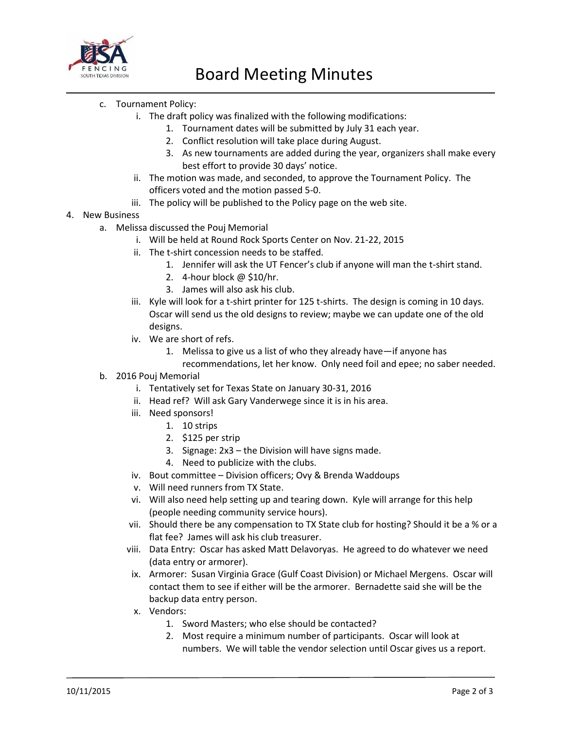

- c. Tournament Policy:
	- i. The draft policy was finalized with the following modifications:
		- 1. Tournament dates will be submitted by July 31 each year.
		- 2. Conflict resolution will take place during August.
		- 3. As new tournaments are added during the year, organizers shall make every best effort to provide 30 days' notice.
	- ii. The motion was made, and seconded, to approve the Tournament Policy. The officers voted and the motion passed 5-0.
	- iii. The policy will be published to the Policy page on the web site.
- 4. New Business
	- a. Melissa discussed the Pouj Memorial
		- i. Will be held at Round Rock Sports Center on Nov. 21-22, 2015
		- ii. The t-shirt concession needs to be staffed.
			- 1. Jennifer will ask the UT Fencer's club if anyone will man the t-shirt stand.
			- 2. 4-hour block @ \$10/hr.
			- 3. James will also ask his club.
		- iii. Kyle will look for a t-shirt printer for 125 t-shirts. The design is coming in 10 days. Oscar will send us the old designs to review; maybe we can update one of the old designs.
		- iv. We are short of refs.
			- 1. Melissa to give us a list of who they already have—if anyone has
			- recommendations, let her know. Only need foil and epee; no saber needed.
	- b. 2016 Pouj Memorial
		- i. Tentatively set for Texas State on January 30-31, 2016
		- ii. Head ref? Will ask Gary Vanderwege since it is in his area.
		- iii. Need sponsors!
			- 1. 10 strips
			- 2. \$125 per strip
			- 3. Signage: 2x3 the Division will have signs made.
			- 4. Need to publicize with the clubs.
		- iv. Bout committee Division officers; Ovy & Brenda Waddoups
		- v. Will need runners from TX State.
		- vi. Will also need help setting up and tearing down. Kyle will arrange for this help (people needing community service hours).
		- vii. Should there be any compensation to TX State club for hosting? Should it be a % or a flat fee? James will ask his club treasurer.
		- viii. Data Entry: Oscar has asked Matt Delavoryas. He agreed to do whatever we need (data entry or armorer).
		- ix. Armorer: Susan Virginia Grace (Gulf Coast Division) or Michael Mergens. Oscar will contact them to see if either will be the armorer. Bernadette said she will be the backup data entry person.
		- x. Vendors:
			- 1. Sword Masters; who else should be contacted?
			- 2. Most require a minimum number of participants. Oscar will look at numbers. We will table the vendor selection until Oscar gives us a report.